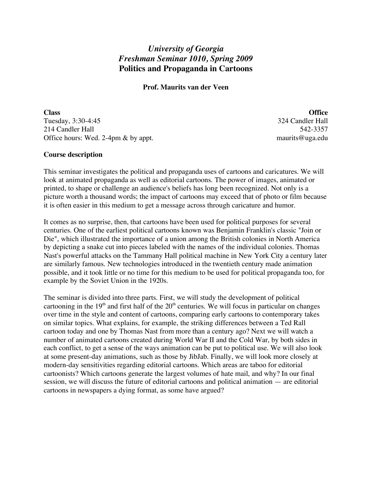# *University of Georgia Freshman Seminar 1010, Spring 2009* **Politics and Propaganda in Cartoons**

**Prof. Maurits van der Veen**

**Class Office** Tuesday, 3:30-4:45 324 Candler Hall 214 Candler Hall 542-3357 Office hours: Wed. 2-4pm & by appt. maurits@uga.edu

# **Course description**

This seminar investigates the political and propaganda uses of cartoons and caricatures. We will look at animated propaganda as well as editorial cartoons. The power of images, animated or printed, to shape or challenge an audience's beliefs has long been recognized. Not only is a picture worth a thousand words; the impact of cartoons may exceed that of photo or film because it is often easier in this medium to get a message across through caricature and humor.

It comes as no surprise, then, that cartoons have been used for political purposes for several centuries. One of the earliest political cartoons known was Benjamin Franklin's classic "Join or Die", which illustrated the importance of a union among the British colonies in North America by depicting a snake cut into pieces labeled with the names of the individual colonies. Thomas Nast's powerful attacks on the Tammany Hall political machine in New York City a century later are similarly famous. New technologies introduced in the twentieth century made animation possible, and it took little or no time for this medium to be used for political propaganda too, for example by the Soviet Union in the 1920s.

The seminar is divided into three parts. First, we will study the development of political cartooning in the  $19<sup>th</sup>$  and first half of the  $20<sup>th</sup>$  centuries. We will focus in particular on changes over time in the style and content of cartoons, comparing early cartoons to contemporary takes on similar topics. What explains, for example, the striking differences between a Ted Rall cartoon today and one by Thomas Nast from more than a century ago? Next we will watch a number of animated cartoons created during World War II and the Cold War, by both sides in each conflict, to get a sense of the ways animation can be put to political use. We will also look at some present-day animations, such as those by JibJab. Finally, we will look more closely at modern-day sensitivities regarding editorial cartoons. Which areas are taboo for editorial cartoonists? Which cartoons generate the largest volumes of hate mail, and why? In our final session, we will discuss the future of editorial cartoons and political animation — are editorial cartoons in newspapers a dying format, as some have argued?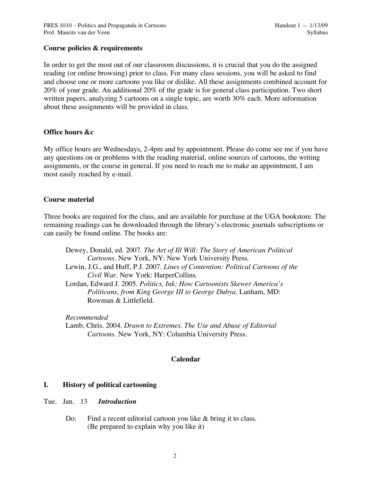# **Course policies & requirements**

In order to get the most out of our classroom discussions, it is crucial that you do the assigned reading (or online browsing) prior to class. For many class sessions, you will be asked to find and choose one or more cartoons you like or dislike. All these assignments combined account for 20% of your grade. An additional 20% of the grade is for general class participation. Two short written papers, analyzing 5 cartoons on a single topic, are worth 30% each. More information about these assignments will be provided in class.

# **Office hours &c**

My office hours are Wednesdays, 2-4pm and by appointment. Please do come see me if you have any questions on or problems with the reading material, online sources of cartoons, the writing assignments, or the course in general. If you need to reach me to make an appointment, I am most easily reached by e-mail.

# **Course material**

Three books are required for the class, and are available for purchase at the UGA bookstore. The remaining readings can be downloaded through the library's electronic journals subscriptions or can easily be found online. The books are:

Dewey, Donald, ed. 2007. *The Art of Ill Will: The Story of American Political Cartoons*. New York, NY: New York University Press. Lewin, J.G., and Huff, P.J. 2007. *Lines of Contention: Political Cartoons of the Civil War.* New York: HarperCollins. Lordan, Edward J. 2005. *Politics, Ink: How Cartoonists Skewer America's Politicans, from King George III to George Dubya.* Lanham, MD: Rowman & Littlefield.

*Recommended* Lamb, Chris. 2004. *Drawn to Extremes. The Use and Abuse of Editorial Cartoons.* New York, NY: Columbia University Press.

# **Calendar**

# **I. History of political cartooning**

# Tue. Jan. 13 *Introduction*

Do: Find a recent editorial cartoon you like & bring it to class. (Be prepared to explain why you like it)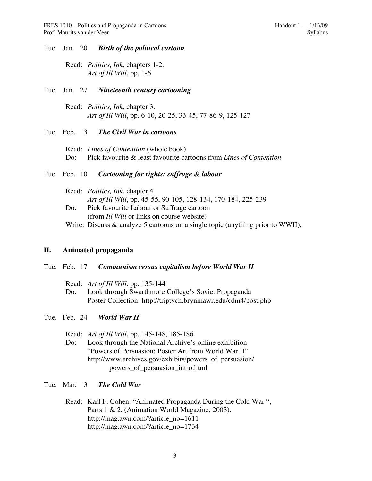#### Tue. Jan. 20 *Birth of the political cartoon*

Read: *Politics, Ink*, chapters 1-2. *Art of Ill Will*, pp. 1-6

#### Tue. Jan. 27 *Nineteenth century cartooning*

Read: *Politics, Ink*, chapter 3. *Art of Ill Will*, pp. 6-10, 20-25, 33-45, 77-86-9, 125-127

### Tue. Feb. 3 *The Civil War in cartoons*

Read: *Lines of Contention* (whole book) Do: Pick favourite & least favourite cartoons from *Lines of Contention*

# Tue. Feb. 10 *Cartooning for rights: suffrage & labour*

Read: *Politics, Ink*, chapter 4 *Art of Ill Will*, pp. 45-55, 90-105, 128-134, 170-184, 225-239 Do: Pick favourite Labour or Suffrage cartoon (from *Ill Will* or links on course website) Write: Discuss & analyze 5 cartoons on a single topic (anything prior to WWII),

### **II. Animated propaganda**

#### Tue. Feb. 17 *Communism versus capitalism before World War II*

Read: *Art of Ill Will*, pp. 135-144

Do: Look through Swarthmore College's Soviet Propaganda Poster Collection: http://triptych.brynmawr.edu/cdm4/post.php

# Tue. Feb. 24 *World War II*

Read: *Art of Ill Will*, pp. 145-148, 185-186

Do: Look through the National Archive's online exhibition "Powers of Persuasion: Poster Art from World War II" http://www.archives.gov/exhibits/powers\_of\_persuasion/ powers\_of\_persuasion\_intro.html

#### Tue. Mar. 3 *The Cold War*

Read: Karl F. Cohen. "Animated Propaganda During the Cold War ", Parts 1 & 2. (Animation World Magazine, 2003). http://mag.awn.com/?article\_no=1611 http://mag.awn.com/?article\_no=1734